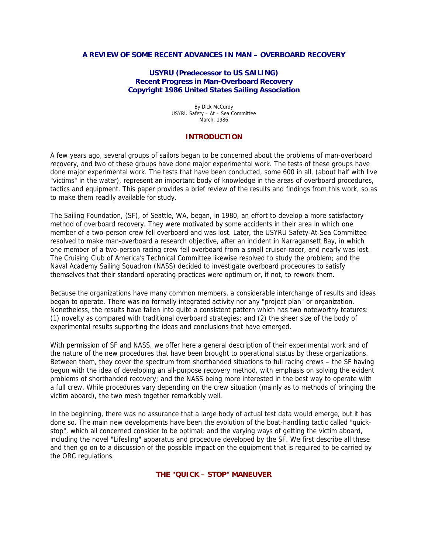#### **A REVIEW OF SOME RECENT ADVANCES IN MAN – OVERBOARD RECOVERY**

#### **USYRU (Predecessor to US SAILING) Recent Progress in Man-Overboard Recovery Copyright 1986 United States Sailing Association**

By Dick McCurdy USYRU Safety – At – Sea Committee March, 1986

#### **INTRODUCTION**

A few years ago, several groups of sailors began to be concerned about the problems of man-overboard recovery, and two of these groups have done major experimental work. The tests of these groups have done major experimental work. The tests that have been conducted, some 600 in all, (about half with live "victims" in the water), represent an important body of knowledge in the areas of overboard procedures, tactics and equipment. This paper provides a brief review of the results and findings from this work, so as to make them readily available for study.

The Sailing Foundation, (SF), of Seattle, WA, began, in 1980, an effort to develop a more satisfactory method of overboard recovery. They were motivated by some accidents in their area in which one member of a two-person crew fell overboard and was lost. Later, the USYRU Safety-At-Sea Committee resolved to make man-overboard a research objective, after an incident in Narragansett Bay, in which one member of a two-person racing crew fell overboard from a small cruiser-racer, and nearly was lost. The Cruising Club of America's Technical Committee likewise resolved to study the problem; and the Naval Academy Sailing Squadron (NASS) decided to investigate overboard procedures to satisfy themselves that their standard operating practices were optimum or, if not, to rework them.

Because the organizations have many common members, a considerable interchange of results and ideas began to operate. There was no formally integrated activity nor any "project plan" or organization. Nonetheless, the results have fallen into quite a consistent pattern which has two noteworthy features: (1) novelty as compared with traditional overboard strategies; and (2) the sheer size of the body of experimental results supporting the ideas and conclusions that have emerged.

With permission of SF and NASS, we offer here a general description of their experimental work and of the nature of the new procedures that have been brought to operational status by these organizations. Between them, they cover the spectrum from shorthanded situations to full racing crews – the SF having begun with the idea of developing an all-purpose recovery method, with emphasis on solving the evident problems of shorthanded recovery; and the NASS being more interested in the best way to operate with a full crew. While procedures vary depending on the crew situation (mainly as to methods of bringing the victim aboard), the two mesh together remarkably well.

In the beginning, there was no assurance that a large body of actual test data would emerge, but it has done so. The main new developments have been the evolution of the boat-handling tactic called "quickstop", which all concerned consider to be optimal; and the varying ways of getting the victim aboard, including the novel "Lifesling" apparatus and procedure developed by the SF. We first describe all these and then go on to a discussion of the possible impact on the equipment that is required to be carried by the ORC regulations.

**THE "QUICK – STOP" MANEUVER**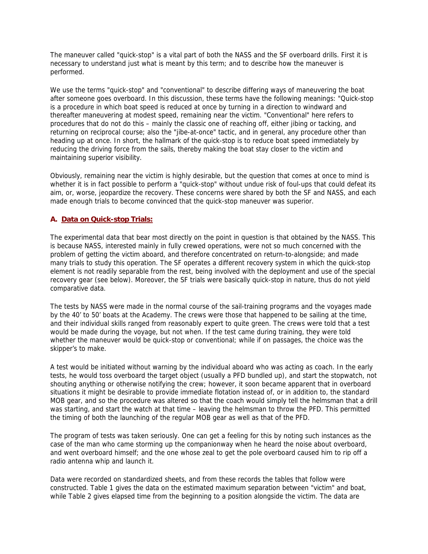The maneuver called "quick-stop" is a vital part of both the NASS and the SF overboard drills. First it is necessary to understand just what is meant by this term; and to describe how the maneuver is performed.

We use the terms "quick-stop" and "conventional" to describe differing ways of maneuvering the boat after someone goes overboard. In this discussion, these terms have the following meanings: "Quick-stop is a procedure in which boat speed is reduced at once by turning in a direction to windward and thereafter maneuvering at modest speed, remaining near the victim. "Conventional" here refers to procedures that do not do this – mainly the classic one of reaching off, either jibing or tacking, and returning on reciprocal course; also the "jibe-at-once" tactic, and in general, any procedure other than heading up at once. In short, the hallmark of the quick-stop is to reduce boat speed immediately by reducing the driving force from the sails, thereby making the boat stay closer to the victim and maintaining superior visibility.

Obviously, remaining near the victim is highly desirable, but the question that comes at once to mind is whether it is in fact possible to perform a "quick-stop" without undue risk of foul-ups that could defeat its aim, or, worse, jeopardize the recovery. These concerns were shared by both the SF and NASS, and each made enough trials to become convinced that the quick-stop maneuver was superior.

# **A. Data on Quick-stop Trials:**

The experimental data that bear most directly on the point in question is that obtained by the NASS. This is because NASS, interested mainly in fully crewed operations, were not so much concerned with the problem of getting the victim aboard, and therefore concentrated on return-to-alongside; and made many trials to study this operation. The SF operates a different recovery system in which the quick-stop element is not readily separable from the rest, being involved with the deployment and use of the special recovery gear (see below). Moreover, the SF trials were basically quick-stop in nature, thus do not yield comparative data.

The tests by NASS were made in the normal course of the sail-training programs and the voyages made by the 40' to 50' boats at the Academy. The crews were those that happened to be sailing at the time, and their individual skills ranged from reasonably expert to quite green. The crews were told that a test would be made during the voyage, but not when. If the test came during training, they were told whether the maneuver would be quick-stop or conventional; while if on passages, the choice was the skipper's to make.

A test would be initiated without warning by the individual aboard who was acting as coach. In the early tests, he would toss overboard the target object (usually a PFD bundled up), and start the stopwatch, not shouting anything or otherwise notifying the crew; however, it soon became apparent that in overboard situations it might be desirable to provide immediate flotation instead of, or in addition to, the standard MOB gear, and so the procedure was altered so that the coach would simply tell the helmsman that a drill was starting, and start the watch at that time – leaving the helmsman to throw the PFD. This permitted the timing of both the launching of the regular MOB gear as well as that of the PFD.

The program of tests was taken seriously. One can get a feeling for this by noting such instances as the case of the man who came storming up the companionway when he heard the noise about overboard, and went overboard himself; and the one whose zeal to get the pole overboard caused him to rip off a radio antenna whip and launch it.

Data were recorded on standardized sheets, and from these records the tables that follow were constructed. Table 1 gives the data on the estimated maximum separation between "victim" and boat, while Table 2 gives elapsed time from the beginning to a position alongside the victim. The data are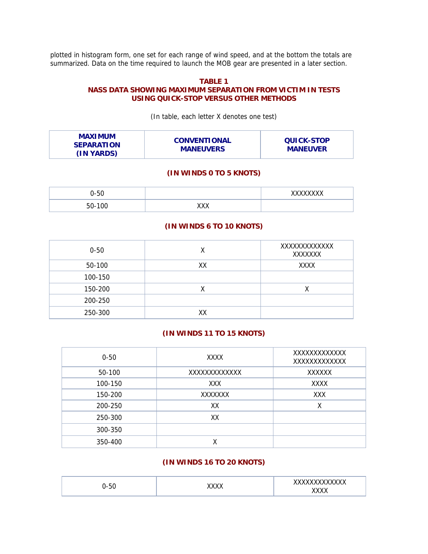plotted in histogram form, one set for each range of wind speed, and at the bottom the totals are summarized. Data on the time required to launch the MOB gear are presented in a later section.

#### **TABLE 1**

### **NASS DATA SHOWING MAXIMUM SEPARATION FROM VICTIM IN TESTS USING QUICK-STOP VERSUS OTHER METHODS**

(In table, each letter X denotes one test)

| <b>MAXIMUM</b>    | <b>CONVENTIONAL</b> | <b>QUICK-STOP</b> |
|-------------------|---------------------|-------------------|
| <b>SEPARATION</b> | <b>MANEUVERS</b>    | <b>MANEUVER</b>   |
| (IN YARDS)        |                     |                   |

# **(IN WINDS 0 TO 5 KNOTS)**

| $\sim$ $\sim$<br>∽<br>∙טט<br>. .<br>ີ |                   | $\cdot$ |
|---------------------------------------|-------------------|---------|
| $\sim$                                | $\cdots$<br>,,,,, |         |

#### **(IN WINDS 6 TO 10 KNOTS)**

| $0 - 50$ | Χ  | XXXXXXXXXXXX<br>XXXXXXX |
|----------|----|-------------------------|
| 50-100   | XX | <b>XXXX</b>             |
| 100-150  |    |                         |
| 150-200  | Χ  |                         |
| 200-250  |    |                         |
| 250-300  | XX |                         |

# **(IN WINDS 11 TO 15 KNOTS)**

| $0 - 50$ | XXXX         | XXXXXXXXXXXX<br>XXXXXXXXXXXX |
|----------|--------------|------------------------------|
| 50-100   | XXXXXXXXXXXX | <b>XXXXXX</b>                |
| 100-150  | XXX          | <b>XXXX</b>                  |
| 150-200  | XXXXXXX      | <b>XXX</b>                   |
| 200-250  | XX           | X                            |
| 250-300  | XX           |                              |
| 300-350  |              |                              |
| 350-400  |              |                              |

# **(IN WINDS 16 TO 20 KNOTS)**

| -50<br> | $\bm{v}$ | www.www.<br>ᇧᇧ<br><br>$\cdot$<br><br>^^ |
|---------|----------|-----------------------------------------|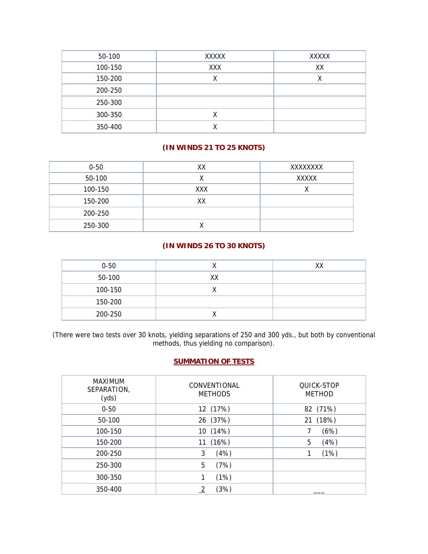| 50-100  | XXXXX | XXXXX |
|---------|-------|-------|
| 100-150 | XXX   | XX    |
| 150-200 |       | v     |
| 200-250 |       |       |
| 250-300 |       |       |
| 300-350 | ⋏     |       |
| 350-400 |       |       |

# **(IN WINDS 21 TO 25 KNOTS)**

| $0 - 50$ | XX  | XXXXXXXX     |
|----------|-----|--------------|
| 50-100   |     | <b>XXXXX</b> |
| 100-150  | XXX | v<br>́       |
| 150-200  | XХ  |              |
| 200-250  |     |              |
| 250-300  |     |              |

# **(IN WINDS 26 TO 30 KNOTS)**

| $0 - 50$ |    | XХ |
|----------|----|----|
| 50-100   | XХ |    |
| 100-150  |    |    |
| 150-200  |    |    |
| 200-250  |    |    |

(There were two tests over 30 knots, yielding separations of 250 and 300 yds., but both by conventional methods, thus yielding no comparison).

# **SUMMATION OF TESTS**

| <b>MAXIMUM</b><br>SEPARATION,<br>(yds) | CONVENTIONAL<br><b>METHODS</b> | QUICK-STOP<br><b>METHOD</b> |
|----------------------------------------|--------------------------------|-----------------------------|
| $0 - 50$                               | 12 (17%)                       | 82 (71%)                    |
| 50-100                                 | 26 (37%)                       | 21 (18%)                    |
| 100-150                                | 10 (14%)                       | (6%)                        |
| 150-200                                | (16%)<br>11                    | 5<br>(4%)                   |
| 200-250                                | 3<br>(4%)                      | (1%)                        |
| 250-300                                | (7%)<br>5                      |                             |
| 300-350                                | (1%)                           |                             |
| 350-400                                | (3%)                           |                             |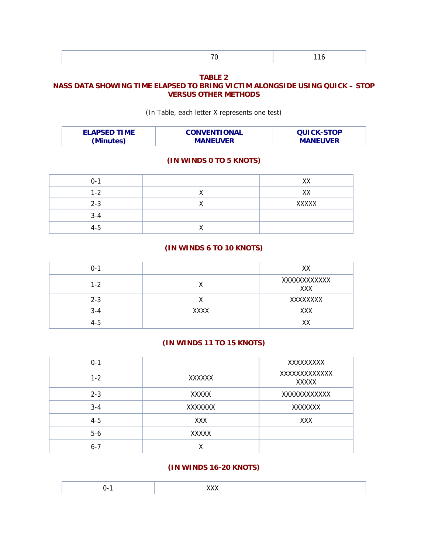|--|--|

#### **TABLE 2**

# **NASS DATA SHOWING TIME ELAPSED TO BRING VICTIM ALONGSIDE USING QUICK – STOP VERSUS OTHER METHODS**

(In Table, each letter X represents one test)

| <b>ELAPSED TIME</b> | <b>CONVENTIONAL</b> | <b>QUICK-STOP</b> |
|---------------------|---------------------|-------------------|
| (Minutes)           | <b>MANEUVER</b>     | <b>MANEUVER</b>   |

#### **(IN WINDS 0 TO 5 KNOTS)**

| $0 - 1$ | XX           |
|---------|--------------|
| $1 - 2$ | XX           |
| $2 - 3$ | <b>XXXXX</b> |
| $3 - 4$ |              |
| 4-5     |              |

#### **(IN WINDS 6 TO 10 KNOTS)**

| $0 - 1$ |      | XX                 |
|---------|------|--------------------|
| $1 - 2$ |      | XXXXXXXXXXX<br>XXX |
| $2 - 3$ |      | XXXXXXXX           |
| $3 - 4$ | XXXX | <b>XXX</b>         |
| 4-5     |      | <b>VV</b>          |

# **(IN WINDS 11 TO 15 KNOTS)**

| $0 - 1$ |               | XXXXXXXXX                    |
|---------|---------------|------------------------------|
| $1 - 2$ | <b>XXXXXX</b> | XXXXXXXXXXXX<br><b>XXXXX</b> |
| $2 - 3$ | XXXXX         | XXXXXXXXXXX                  |
| $3 - 4$ | XXXXXXX       | XXXXXXX                      |
| $4 - 5$ | XXX           | XXX                          |
| $5-6$   | <b>XXXXX</b>  |                              |
| $6 - 7$ |               |                              |

### **(IN WINDS 16-20 KNOTS)**

|--|--|--|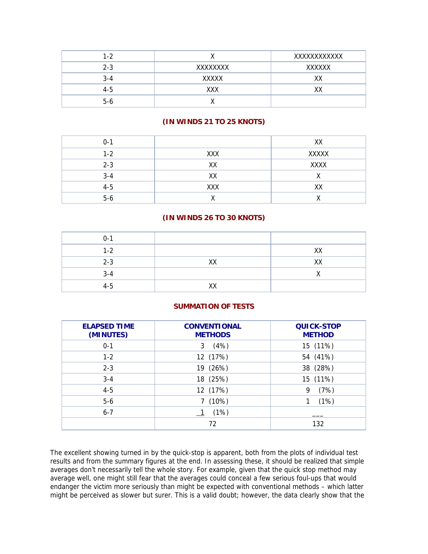| $1 - 2$ |          | XXXXXXXXXXX   |
|---------|----------|---------------|
| $2 - 3$ | XXXXXXXX | <b>XXXXXX</b> |
| $3 - 4$ | XXXXX    | xх            |
| $4 - 5$ | XXX      | xх            |
| $5-6$   |          |               |

# **(IN WINDS 21 TO 25 KNOTS)**

| $0 - 1$ |            | XX           |
|---------|------------|--------------|
| $1 - 2$ | <b>XXX</b> | <b>XXXXX</b> |
| $2 - 3$ | XХ         | <b>XXXX</b>  |
| $3 - 4$ | XX         |              |
| $4 - 5$ | <b>XXX</b> | XX           |
| $5-6$   |            |              |

# **(IN WINDS 26 TO 30 KNOTS)**

| $0 - 1$ |    |    |
|---------|----|----|
| $1 - 2$ |    | XX |
| $2 - 3$ | XX | XX |
| $3 - 4$ |    |    |
| $4 - 5$ | XX |    |

# **SUMMATION OF TESTS**

| <b>ELAPSED TIME</b><br>(MINUTES) | <b>CONVENTIONAL</b><br><b>METHODS</b> | <b>QUICK-STOP</b><br><b>METHOD</b> |
|----------------------------------|---------------------------------------|------------------------------------|
| $0 - 1$                          | (4%)<br>3                             | 15 (11%)                           |
| $1-2$                            | 12 (17%)                              | 54 (41%)                           |
| $2 - 3$                          | (26%)<br>19                           | 38 (28%)                           |
| $3 - 4$                          | 18 (25%)                              | 15 (11%)                           |
| $4 - 5$                          | 12 (17%)                              | (7%)<br>9                          |
| $5-6$                            | (10%)                                 | (1%)                               |
| $6 - 7$                          | (1%)                                  |                                    |
|                                  | 72                                    | 132                                |

The excellent showing turned in by the quick-stop is apparent, both from the plots of individual test results and from the summary figures at the end. In assessing these, it should be realized that simple averages don't necessarily tell the whole story. For example, given that the quick stop method may average well, one might still fear that the averages could conceal a few serious foul-ups that would endanger the victim more seriously than might be expected with conventional methods – which latter might be perceived as slower but surer. This is a valid doubt; however, the data clearly show that the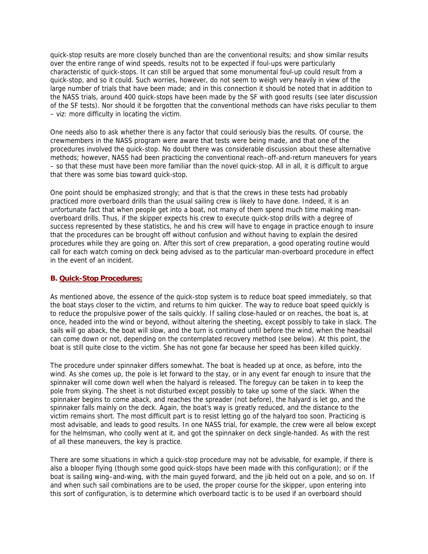quick-stop results are more closely bunched than are the conventional results; and show similar results over the entire range of wind speeds, results not to be expected if foul-ups were particularly characteristic of quick-stops. It can still be argued that some monumental foul-up could result from a quick-stop, and so it could. Such worries, however, do not seem to weigh very heavily in view of the large number of trials that have been made; and in this connection it should be noted that in addition to the NASS trials, around 400 quick-stops have been made by the SF with good results (see later discussion of the SF tests). Nor should it be forgotten that the conventional methods can have risks peculiar to them – viz: more difficulty in locating the victim.

One needs also to ask whether there is any factor that could seriously bias the results. Of course, the crewmembers in the NASS program were aware that tests were being made, and that one of the procedures involved the quick-stop. No doubt there was considerable discussion about these alternative methods; however, NASS had been practicing the conventional reach–off-and-return maneuvers for years – so that these must have been more familiar than the novel quick-stop. All in all, it is difficult to argue that there was some bias toward quick-stop.

One point should be emphasized strongly; and that is that the crews in these tests had probably practiced more overboard drills than the usual sailing crew is likely to have done. Indeed, it is an unfortunate fact that when people get into a boat, not many of them spend much time making manoverboard drills. Thus, if the skipper expects his crew to execute quick-stop drills with a degree of success represented by these statistics, he and his crew will have to engage in practice enough to insure that the procedures can be brought off without confusion and without having to explain the desired procedures while they are going on. After this sort of crew preparation, a good operating routine would call for each watch coming on deck being advised as to the particular man-overboard procedure in effect in the event of an incident.

#### **B. Quick-Stop Procedures:**

As mentioned above, the essence of the quick-stop system is to reduce boat speed immediately, so that the boat stays closer to the victim, and returns to him quicker. The way to reduce boat speed quickly is to reduce the propulsive power of the sails quickly. If sailing close-hauled or on reaches, the boat is, at once, headed into the wind or beyond, without altering the sheeting, except possibly to take in slack. The sails will go aback, the boat will slow, and the turn is continued until before the wind, when the headsail can come down or not, depending on the contemplated recovery method (see below). At this point, the boat is still quite close to the victim. She has not gone far because her speed has been killed quickly.

The procedure under spinnaker differs somewhat. The boat is headed up at once, as before, into the wind. As she comes up, the pole is let forward to the stay, or in any event far enough to insure that the spinnaker will come down well when the halyard is released. The foreguy can be taken in to keep the pole from skying. The sheet is not disturbed except possibly to take up some of the slack. When the spinnaker begins to come aback, and reaches the spreader (not before), the halyard is let go, and the spinnaker falls mainly on the deck. Again, the boat's way is greatly reduced, and the distance to the victim remains short. The most difficult part is to resist letting go of the halyard too soon. Practicing is most advisable, and leads to good results. In one NASS trial, for example, the crew were all below except for the helmsman, who coolly went at it, and got the spinnaker on deck single-handed. As with the rest of all these maneuvers, the key is practice.

There are some situations in which a quick-stop procedure may not be advisable, for example, if there is also a blooper flying (though some good quick-stops have been made with this configuration); or if the boat is sailing wing–and-wing, with the main guyed forward, and the jib held out on a pole, and so on. If and when such sail combinations are to be used, the proper course for the skipper, upon entering into this sort of configuration, is to determine which overboard tactic is to be used if an overboard should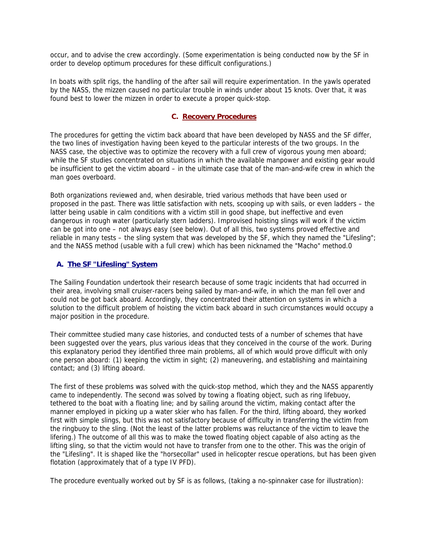occur, and to advise the crew accordingly. (Some experimentation is being conducted now by the SF in order to develop optimum procedures for these difficult configurations.)

In boats with split rigs, the handling of the after sail will require experimentation. In the yawls operated by the NASS, the mizzen caused no particular trouble in winds under about 15 knots. Over that, it was found best to lower the mizzen in order to execute a proper quick-stop.

### **C. Recovery Procedures**

The procedures for getting the victim back aboard that have been developed by NASS and the SF differ, the two lines of investigation having been keyed to the particular interests of the two groups. In the NASS case, the objective was to optimize the recovery with a full crew of vigorous young men aboard; while the SF studies concentrated on situations in which the available manpower and existing gear would be insufficient to get the victim aboard – in the ultimate case that of the man-and-wife crew in which the man goes overboard.

Both organizations reviewed and, when desirable, tried various methods that have been used or proposed in the past. There was little satisfaction with nets, scooping up with sails, or even ladders – the latter being usable in calm conditions with a victim still in good shape, but ineffective and even dangerous in rough water (particularly stern ladders). Improvised hoisting slings will work if the victim can be got into one – not always easy (see below). Out of all this, two systems proved effective and reliable in many tests – the sling system that was developed by the SF, which they named the "Lifesling"; and the NASS method (usable with a full crew) which has been nicknamed the "Macho" method.0

# **A. The SF "Lifesling" System**

The Sailing Foundation undertook their research because of some tragic incidents that had occurred in their area, involving small cruiser-racers being sailed by man-and-wife, in which the man fell over and could not be got back aboard. Accordingly, they concentrated their attention on systems in which a solution to the difficult problem of hoisting the victim back aboard in such circumstances would occupy a major position in the procedure.

Their committee studied many case histories, and conducted tests of a number of schemes that have been suggested over the years, plus various ideas that they conceived in the course of the work. During this explanatory period they identified three main problems, all of which would prove difficult with only one person aboard: (1) keeping the victim in sight; (2) maneuvering, and establishing and maintaining contact; and (3) lifting aboard.

The first of these problems was solved with the quick-stop method, which they and the NASS apparently came to independently. The second was solved by towing a floating object, such as ring lifebuoy, tethered to the boat with a floating line; and by sailing around the victim, making contact after the manner employed in picking up a water skier who has fallen. For the third, lifting aboard, they worked first with simple slings, but this was not satisfactory because of difficulty in transferring the victim from the ringbuoy to the sling. (Not the least of the latter problems was reluctance of the victim to leave the lifering.) The outcome of all this was to make the towed floating object capable of also acting as the lifting sling, so that the victim would not have to transfer from one to the other. This was the origin of the "Lifesling". It is shaped like the "horsecollar" used in helicopter rescue operations, but has been given flotation (approximately that of a type IV PFD).

The procedure eventually worked out by SF is as follows, (taking a no-spinnaker case for illustration):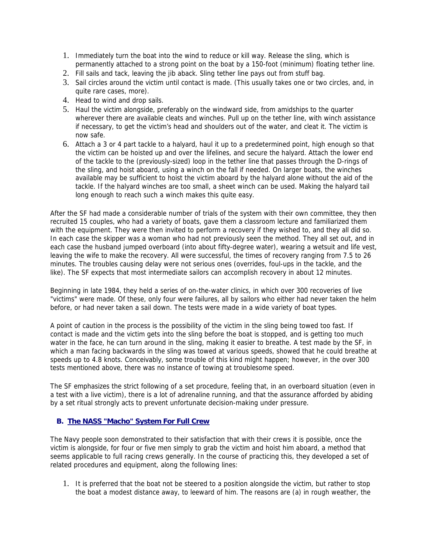- 1. Immediately turn the boat into the wind to reduce or kill way. Release the sling, which is permanently attached to a strong point on the boat by a 150-foot (minimum) floating tether line.
- 2. Fill sails and tack, leaving the jib aback. Sling tether line pays out from stuff bag.
- 3. Sail circles around the victim until contact is made. (This usually takes one or two circles, and, in quite rare cases, more).
- 4. Head to wind and drop sails.
- 5. Haul the victim alongside, preferably on the windward side, from amidships to the quarter wherever there are available cleats and winches. Pull up on the tether line, with winch assistance if necessary, to get the victim's head and shoulders out of the water, and cleat it. The victim is now safe.
- 6. Attach a 3 or 4 part tackle to a halyard, haul it up to a predetermined point, high enough so that the victim can be hoisted up and over the lifelines, and secure the halyard. Attach the lower end of the tackle to the (previously-sized) loop in the tether line that passes through the D-rings of the sling, and hoist aboard, using a winch on the fall if needed. On larger boats, the winches available may be sufficient to hoist the victim aboard by the halyard alone without the aid of the tackle. If the halyard winches are too small, a sheet winch can be used. Making the halyard tail long enough to reach such a winch makes this quite easy.

After the SF had made a considerable number of trials of the system with their own committee, they then recruited 15 couples, who had a variety of boats, gave them a classroom lecture and familiarized them with the equipment. They were then invited to perform a recovery if they wished to, and they all did so. In each case the skipper was a woman who had not previously seen the method. They all set out, and in each case the husband jumped overboard (into about fifty-degree water), wearing a wetsuit and life vest, leaving the wife to make the recovery. All were successful, the times of recovery ranging from 7.5 to 26 minutes. The troubles causing delay were not serious ones (overrides, foul-ups in the tackle, and the like). The SF expects that most intermediate sailors can accomplish recovery in about 12 minutes.

Beginning in late 1984, they held a series of on-the-water clinics, in which over 300 recoveries of live "victims" were made. Of these, only four were failures, all by sailors who either had never taken the helm before, or had never taken a sail down. The tests were made in a wide variety of boat types.

A point of caution in the process is the possibility of the victim in the sling being towed too fast. If contact is made and the victim gets into the sling before the boat is stopped, and is getting too much water in the face, he can turn around in the sling, making it easier to breathe. A test made by the SF, in which a man facing backwards in the sling was towed at various speeds, showed that he could breathe at speeds up to 4.8 knots. Conceivably, some trouble of this kind might happen; however, in the over 300 tests mentioned above, there was no instance of towing at troublesome speed.

The SF emphasizes the strict following of a set procedure, feeling that, in an overboard situation (even in a test with a live victim), there is a lot of adrenaline running, and that the assurance afforded by abiding by a set ritual strongly acts to prevent unfortunate decision-making under pressure.

# **B. The NASS "Macho" System For Full Crew**

The Navy people soon demonstrated to their satisfaction that with their crews it is possible, once the victim is alongside, for four or five men simply to grab the victim and hoist him aboard, a method that seems applicable to full racing crews generally. In the course of practicing this, they developed a set of related procedures and equipment, along the following lines:

1. It is preferred that the boat not be steered to a position alongside the victim, but rather to stop the boat a modest distance away, to leeward of him. The reasons are (a) in rough weather, the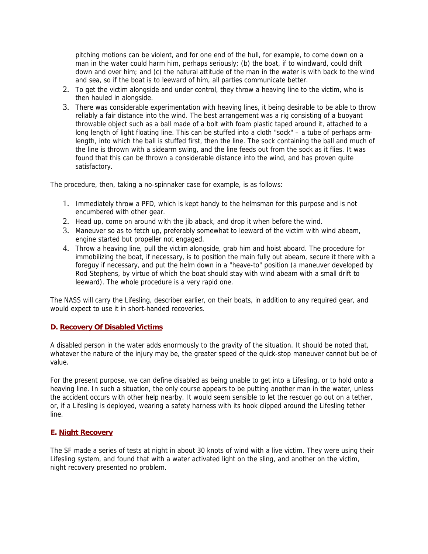pitching motions can be violent, and for one end of the hull, for example, to come down on a man in the water could harm him, perhaps seriously; (b) the boat, if to windward, could drift down and over him; and (c) the natural attitude of the man in the water is with back to the wind and sea, so if the boat is to leeward of him, all parties communicate better.

- 2. To get the victim alongside and under control, they throw a heaving line to the victim, who is then hauled in alongside.
- 3. There was considerable experimentation with heaving lines, it being desirable to be able to throw reliably a fair distance into the wind. The best arrangement was a rig consisting of a buoyant throwable object such as a ball made of a bolt with foam plastic taped around it, attached to a long length of light floating line. This can be stuffed into a cloth "sock" – a tube of perhaps armlength, into which the ball is stuffed first, then the line. The sock containing the ball and much of the line is thrown with a sidearm swing, and the line feeds out from the sock as it flies. It was found that this can be thrown a considerable distance into the wind, and has proven quite satisfactory.

The procedure, then, taking a no-spinnaker case for example, is as follows:

- 1. Immediately throw a PFD, which is kept handy to the helmsman for this purpose and is not encumbered with other gear.
- 2. Head up, come on around with the jib aback, and drop it when before the wind.
- 3. Maneuver so as to fetch up, preferably somewhat to leeward of the victim with wind abeam, engine started but propeller not engaged.
- 4. Throw a heaving line, pull the victim alongside, grab him and hoist aboard. The procedure for immobilizing the boat, if necessary, is to position the main fully out abeam, secure it there with a foreguy if necessary, and put the helm down in a "heave-to" position (a maneuver developed by Rod Stephens, by virtue of which the boat should stay with wind abeam with a small drift to leeward). The whole procedure is a very rapid one.

The NASS will carry the Lifesling, describer earlier, on their boats, in addition to any required gear, and would expect to use it in short-handed recoveries.

#### **D. Recovery Of Disabled Victims**

A disabled person in the water adds enormously to the gravity of the situation. It should be noted that, whatever the nature of the injury may be, the greater speed of the quick-stop maneuver cannot but be of value.

For the present purpose, we can define disabled as being unable to get into a Lifesling, or to hold onto a heaving line. In such a situation, the only course appears to be putting another man in the water, unless the accident occurs with other help nearby. It would seem sensible to let the rescuer go out on a tether, or, if a Lifesling is deployed, wearing a safety harness with its hook clipped around the Lifesling tether line.

#### **E. Night Recovery**

The SF made a series of tests at night in about 30 knots of wind with a live victim. They were using their Lifesling system, and found that with a water activated light on the sling, and another on the victim, night recovery presented no problem.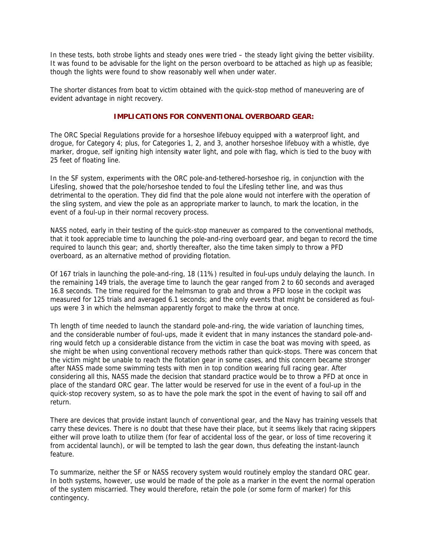In these tests, both strobe lights and steady ones were tried – the steady light giving the better visibility. It was found to be advisable for the light on the person overboard to be attached as high up as feasible; though the lights were found to show reasonably well when under water.

The shorter distances from boat to victim obtained with the quick-stop method of maneuvering are of evident advantage in night recovery.

#### **IMPLICATIONS FOR CONVENTIONAL OVERBOARD GEAR:**

The ORC Special Regulations provide for a horseshoe lifebuoy equipped with a waterproof light, and drogue, for Category 4; plus, for Categories 1, 2, and 3, another horseshoe lifebuoy with a whistle, dye marker, drogue, self igniting high intensity water light, and pole with flag, which is tied to the buoy with 25 feet of floating line.

In the SF system, experiments with the ORC pole-and-tethered-horseshoe rig, in conjunction with the Lifesling, showed that the pole/horseshoe tended to foul the Lifesling tether line, and was thus detrimental to the operation. They did find that the pole alone would not interfere with the operation of the sling system, and view the pole as an appropriate marker to launch, to mark the location, in the event of a foul-up in their normal recovery process.

NASS noted, early in their testing of the quick-stop maneuver as compared to the conventional methods, that it took appreciable time to launching the pole-and-ring overboard gear, and began to record the time required to launch this gear; and, shortly thereafter, also the time taken simply to throw a PFD overboard, as an alternative method of providing flotation.

Of 167 trials in launching the pole-and-ring, 18 (11%) resulted in foul-ups unduly delaying the launch. In the remaining 149 trials, the average time to launch the gear ranged from 2 to 60 seconds and averaged 16.8 seconds. The time required for the helmsman to grab and throw a PFD loose in the cockpit was measured for 125 trials and averaged 6.1 seconds; and the only events that might be considered as foulups were 3 in which the helmsman apparently forgot to make the throw at once.

Th length of time needed to launch the standard pole-and-ring, the wide variation of launching times, and the considerable number of foul-ups, made it evident that in many instances the standard pole-andring would fetch up a considerable distance from the victim in case the boat was moving with speed, as she might be when using conventional recovery methods rather than quick-stops. There was concern that the victim might be unable to reach the flotation gear in some cases, and this concern became stronger after NASS made some swimming tests with men in top condition wearing full racing gear. After considering all this, NASS made the decision that standard practice would be to throw a PFD at once in place of the standard ORC gear. The latter would be reserved for use in the event of a foul-up in the quick-stop recovery system, so as to have the pole mark the spot in the event of having to sail off and return.

There are devices that provide instant launch of conventional gear, and the Navy has training vessels that carry these devices. There is no doubt that these have their place, but it seems likely that racing skippers either will prove loath to utilize them (for fear of accidental loss of the gear, or loss of time recovering it from accidental launch), or will be tempted to lash the gear down, thus defeating the instant-launch feature.

To summarize, neither the SF or NASS recovery system would routinely employ the standard ORC gear. In both systems, however, use would be made of the pole as a marker in the event the normal operation of the system miscarried. They would therefore, retain the pole (or some form of marker) for this contingency.